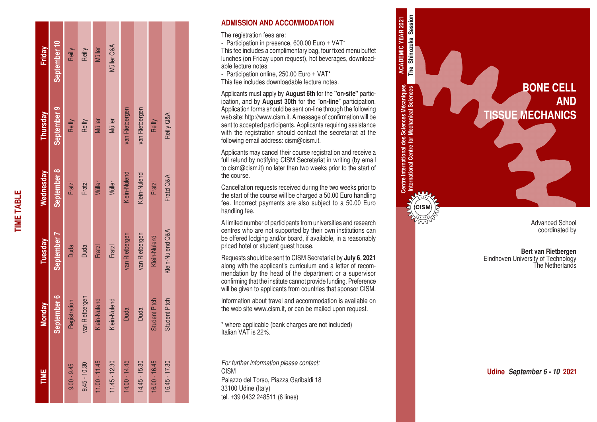| Friday           | September 10 | Reilly        | Reilly         | <b>Müller</b>   | Müller Q&A      |                |                |                      |                      |  |
|------------------|--------------|---------------|----------------|-----------------|-----------------|----------------|----------------|----------------------|----------------------|--|
| Thursday         | September 9  | Reilly        | Reilly         | Müller          | Müller          | van Rietbergen | van Rietbergen | Reilly               | Reilly Q&A           |  |
| <b>Wednesday</b> | September 8  | Fratzl        | Fratzl         | Müller          | Müller          | Klein-Nulend   | Klein-Nulend   | Fratzl               | Fratzl Q&A           |  |
| Tuesday          | September 7  | <b>Duda</b>   | <b>Duda</b>    | <b>Fratzl</b>   | <b>Fratzl</b>   | van Rietbergen | van Rietbergen | Klein-Nulend         | Klein-Nulend Q&A     |  |
| <b>Monday</b>    | September 6  | Registration  | van Rietbergen | Klein-Nulend    | Klein-Nulend    | <b>Duda</b>    | <b>Duda</b>    | <b>Student Pitch</b> | <b>Student Pitch</b> |  |
| TIME             |              | $9.00 - 9.45$ | $9.45 - 10.30$ | $11.00 - 11.45$ | $11.45 - 12.30$ | 14.00 - 14.45  | 14.45 - 15.30  | 16.00 - 16.45        | $16.45 - 17.30$      |  |

**TIME TABLE**

**TIME TABLE** 

#### **ADMISSION AND ACCOMMODATION**

The registration fees are:

- Participation in presence, 600.00 Euro + VAT\*

This fee includes a complimentary bag, four fixed menu buffet lunches (on Friday upon request), hot beverages, download able lecture notes.

- Participation online, 250.00 Euro + VAT\*

This fee includes downloadable lecture notes.

Applicants must apply by **August 6th** for the **"on-site"** partic ipation, and by **August 30th** for the "**on-line**" participation. Application forms should be sent on-line through the following web site: http://www.cism.it. A message of confirmation will be sent to accepted participants. Applicants requiring assistance with the registration should contact the secretariat at the following email address: cism@cism.it.

Applicants may cancel their course registration and receive a full refund by notifying CISM Secretariat in writing (by email to cism@cism.it) no later than two weeks prior to the start of the course.

Cancellation requests received during the two weeks prior to the start of the course will be charged a 50.00 Euro handling fee. Incorrect payments are also subject to a 50.00 Euro handling fee.

A limited number of participants from universities and research centres who are not supported by their own institutions can be offered lodging and/or board, if available, in a reasonably priced hotel or student guest house.

Requests should be sent to CISM Secretariat by **July 6**, **2021** along with the applicant's curriculum and a letter of recom mendation by the head of the department or a supervisor confirming that the institute cannot provide funding. Preference will be given to applicants from countries that sponsor CISM.

Information about travel and accommodation is available on the web site www.cism.it, or can be mailed upon request.

\* where applicable (bank charges are not included) Italian VAT is 22%.

*For further information please contact:* CISM Palazzo del Torso, Piazza Garibaldi 18 33100 Udine (Italy) tel. +39 0432 248511 (6 lines)



**Bert van Rietbergen** Eindhoven University of Technology The Netherlands